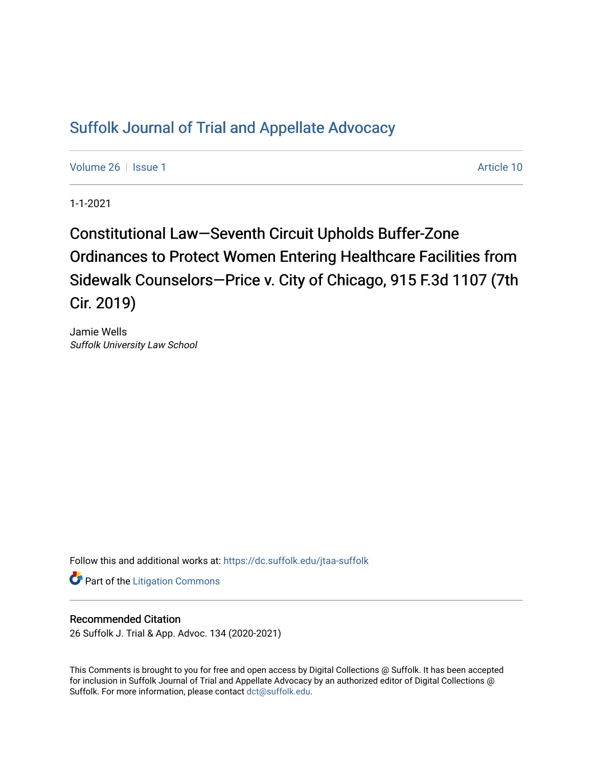## [Suffolk Journal of Trial and Appellate Advocacy](https://dc.suffolk.edu/jtaa-suffolk)

[Volume 26](https://dc.suffolk.edu/jtaa-suffolk/vol26) | [Issue 1](https://dc.suffolk.edu/jtaa-suffolk/vol26/iss1) Article 10

1-1-2021

Constitutional Law–Seventh Circuit Upholds Buffer-Zone Ordinances to Protect Women Entering Healthcare Facilities from Sidewalk Counselors—Price v. City of Chicago, 915 F.3d 1107 (7th Cir. 2019)

Jamie Wells Suffolk University Law School

Follow this and additional works at: [https://dc.suffolk.edu/jtaa-suffolk](https://dc.suffolk.edu/jtaa-suffolk?utm_source=dc.suffolk.edu%2Fjtaa-suffolk%2Fvol26%2Fiss1%2F10&utm_medium=PDF&utm_campaign=PDFCoverPages) 

**Part of the [Litigation Commons](https://network.bepress.com/hgg/discipline/910?utm_source=dc.suffolk.edu%2Fjtaa-suffolk%2Fvol26%2Fiss1%2F10&utm_medium=PDF&utm_campaign=PDFCoverPages)** 

## Recommended Citation

26 Suffolk J. Trial & App. Advoc. 134 (2020-2021)

This Comments is brought to you for free and open access by Digital Collections @ Suffolk. It has been accepted for inclusion in Suffolk Journal of Trial and Appellate Advocacy by an authorized editor of Digital Collections @ Suffolk. For more information, please contact [dct@suffolk.edu.](mailto:dct@suffolk.edu)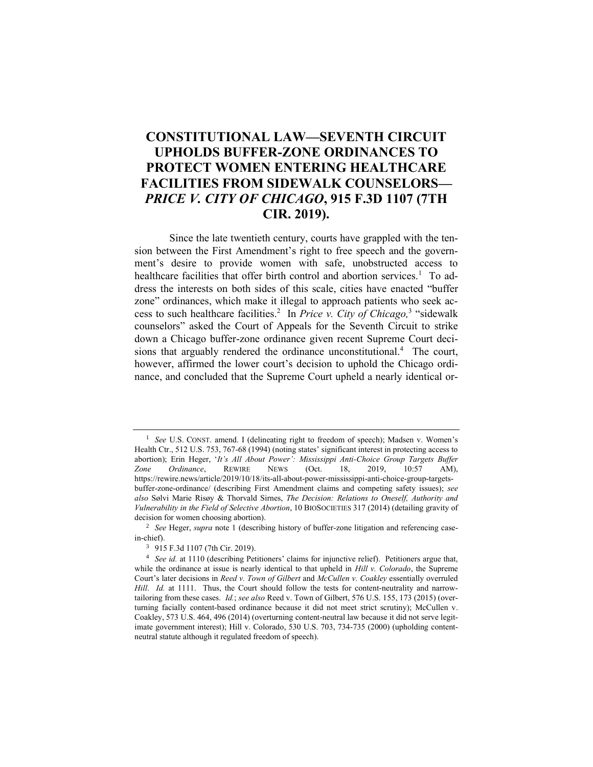## **CONSTITUTIONAL LAW—SEVENTH CIRCUIT UPHOLDS BUFFER-ZONE ORDINANCES TO PROTECT WOMEN ENTERING HEALTHCARE FACILITIES FROM SIDEWALK COUNSELORS—** *PRICE V. CITY OF CHICAGO***, 915 F.3D 1107 (7TH CIR. 2019).**

Since the late twentieth century, courts have grappled with the tension between the First Amendment's right to free speech and the government's desire to provide women with safe, unobstructed access to healthcare facilities that offer birth control and abortion services.<sup>1</sup> To address the interests on both sides of this scale, cities have enacted "buffer zone" ordinances, which make it illegal to approach patients who seek access to such healthcare facilities.<sup>2</sup> In *Price v. City of Chicago*,<sup>3</sup> "sidewalk counselors" asked the Court of Appeals for the Seventh Circuit to strike down a Chicago buffer-zone ordinance given recent Supreme Court decisions that arguably rendered the ordinance unconstitutional.<sup>4</sup> The court, however, affirmed the lower court's decision to uphold the Chicago ordinance, and concluded that the Supreme Court upheld a nearly identical or-

<sup>&</sup>lt;sup>1</sup> *See U.S. CONST. amend. I (delineating right to freedom of speech); Madsen v. Women's* Health Ctr., 512 U.S. 753, 767-68 (1994) (noting states' significant interest in protecting access to abortion); Erin Heger, '*It's All About Power': Mississippi Anti-Choice Group Targets Buffer Zone Ordinance*, REWIRE NEWS (Oct. 18, 2019, 10:57 AM), [https://rewire.news/article/2019/10/18/its-all-about-power-mississippi-anti-choice-group-targets](https://rewire.news/article/2019/10/18/its-all-about-power-mississippi-anti-choice-group-targets-buffer-zone-ordinance/)[buffer-zone-ordinance/](https://rewire.news/article/2019/10/18/its-all-about-power-mississippi-anti-choice-group-targets-buffer-zone-ordinance/) (describing First Amendment claims and competing safety issues); *see also* Sølvi Marie Risøy & Thorvald Sirnes, *The Decision: Relations to Oneself, Authority and Vulnerability in the Field of Selective Abortion*, 10 BIOSOCIETIES 317 (2014) (detailing gravity of decision for women choosing abortion).

<sup>2</sup> *See* Heger, *supra* note 1 (describing history of buffer-zone litigation and referencing casein-chief).

<sup>3</sup> 915 F.3d 1107 (7th Cir. 2019).

<sup>4</sup> *See id.* at 1110 (describing Petitioners' claims for injunctive relief). Petitioners argue that, while the ordinance at issue is nearly identical to that upheld in *Hill v. Colorado*, the Supreme Court's later decisions in *Reed v. Town of Gilbert* and *McCullen v. Coakley* essentially overruled *Hill*. *Id.* at 1111. Thus, the Court should follow the tests for content-neutrality and narrowtailoring from these cases. *Id.*; *see also* Reed v. Town of Gilbert, 576 U.S. 155, 173 (2015) (overturning facially content-based ordinance because it did not meet strict scrutiny); McCullen v. Coakley, 573 U.S. 464, 496 (2014) (overturning content-neutral law because it did not serve legitimate government interest); Hill v. Colorado, 530 U.S. 703, 734-735 (2000) (upholding contentneutral statute although it regulated freedom of speech).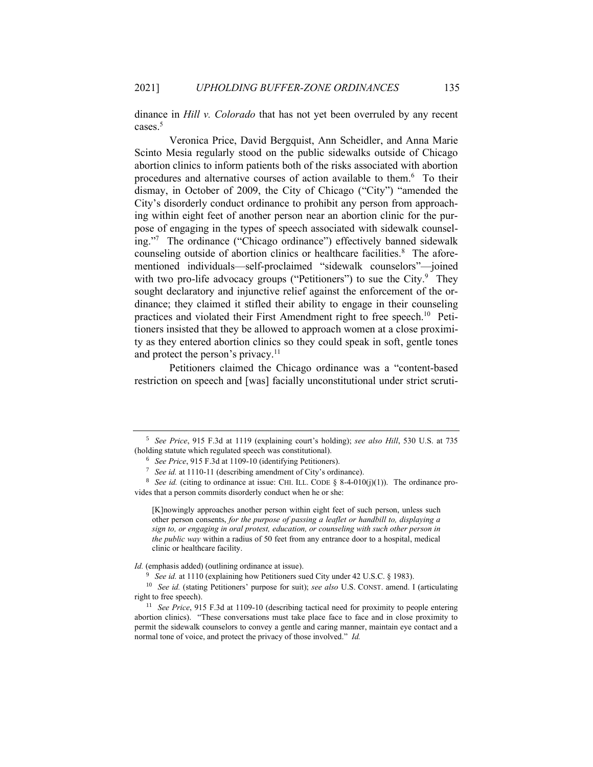dinance in *Hill v. Colorado* that has not yet been overruled by any recent cases. 5

Veronica Price, David Bergquist, Ann Scheidler, and Anna Marie Scinto Mesia regularly stood on the public sidewalks outside of Chicago abortion clinics to inform patients both of the risks associated with abortion procedures and alternative courses of action available to them.<sup>6</sup> To their dismay, in October of 2009, the City of Chicago ("City") "amended the City's disorderly conduct ordinance to prohibit any person from approaching within eight feet of another person near an abortion clinic for the purpose of engaging in the types of speech associated with sidewalk counseling." 7 The ordinance ("Chicago ordinance") effectively banned sidewalk counseling outside of abortion clinics or healthcare facilities.<sup>8</sup> The aforementioned individuals—self-proclaimed "sidewalk counselors"—joined with two pro-life advocacy groups ("Petitioners") to sue the City.<sup>9</sup> They sought declaratory and injunctive relief against the enforcement of the ordinance; they claimed it stifled their ability to engage in their counseling practices and violated their First Amendment right to free speech.<sup>10</sup> Petitioners insisted that they be allowed to approach women at a close proximity as they entered abortion clinics so they could speak in soft, gentle tones and protect the person's privacy.<sup>11</sup>

Petitioners claimed the Chicago ordinance was a "content-based restriction on speech and [was] facially unconstitutional under strict scruti-

<sup>5</sup> *See Price*, 915 F.3d at 1119 (explaining court's holding); *see also Hill*, 530 U.S. at 735 (holding statute which regulated speech was constitutional).

<sup>6</sup> *See Price*, 915 F.3d at 1109-10 (identifying Petitioners).

<sup>7</sup> *See id.* at 1110-11 (describing amendment of City's ordinance).

<sup>&</sup>lt;sup>8</sup> *See id.* (citing to ordinance at issue: CHI. ILL. CODE § 8-4-010(j)(1)). The ordinance provides that a person commits disorderly conduct when he or she:

<sup>[</sup>K]nowingly approaches another person within eight feet of such person, unless such other person consents, *for the purpose of passing a leaflet or handbill to, displaying a sign to, or engaging in oral protest, education, or counseling with such other person in the public way* within a radius of 50 feet from any entrance door to a hospital, medical clinic or healthcare facility.

*Id.* (emphasis added) (outlining ordinance at issue).

<sup>&</sup>lt;sup>9</sup> *See id.* at 1110 (explaining how Petitioners sued City under 42 U.S.C. § 1983).

<sup>10</sup> *See id.* (stating Petitioners' purpose for suit); *see also* U.S. CONST. amend. I (articulating right to free speech).

<sup>&</sup>lt;sup>11</sup> *See Price*, 915 F.3d at 1109-10 (describing tactical need for proximity to people entering abortion clinics). "These conversations must take place face to face and in close proximity to permit the sidewalk counselors to convey a gentle and caring manner, maintain eye contact and a normal tone of voice, and protect the privacy of those involved." *Id.*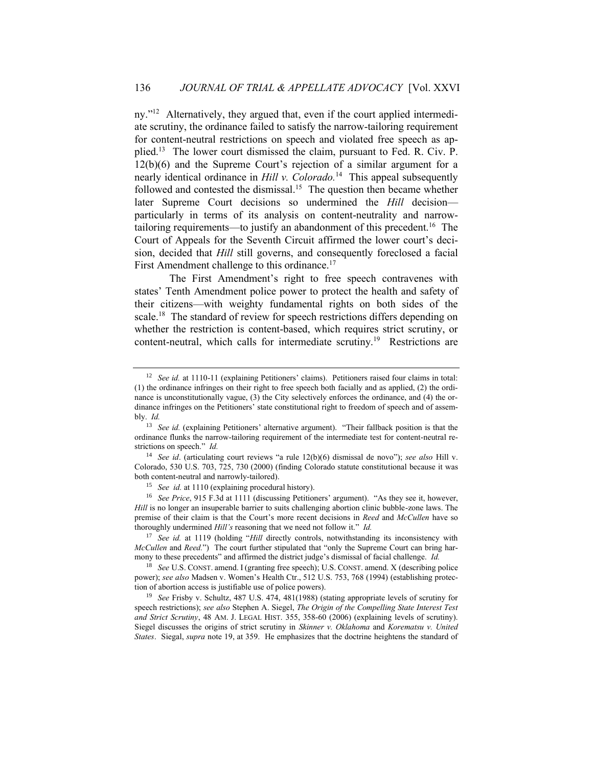ny."<sup>12</sup> Alternatively, they argued that, even if the court applied intermediate scrutiny, the ordinance failed to satisfy the narrow-tailoring requirement for content-neutral restrictions on speech and violated free speech as applied.<sup>13</sup> The lower court dismissed the claim, pursuant to Fed. R. Civ. P. 12(b)(6) and the Supreme Court's rejection of a similar argument for a nearly identical ordinance in *Hill v. Colorado.*<sup>14</sup> This appeal subsequently followed and contested the dismissal.<sup>15</sup> The question then became whether later Supreme Court decisions so undermined the *Hill* decision particularly in terms of its analysis on content-neutrality and narrowtailoring requirements—to justify an abandonment of this precedent.<sup>16</sup> The Court of Appeals for the Seventh Circuit affirmed the lower court's decision, decided that *Hill* still governs, and consequently foreclosed a facial First Amendment challenge to this ordinance.<sup>17</sup>

The First Amendment's right to free speech contravenes with states' Tenth Amendment police power to protect the health and safety of their citizens—with weighty fundamental rights on both sides of the scale.<sup>18</sup> The standard of review for speech restrictions differs depending on whether the restriction is content-based, which requires strict scrutiny, or content-neutral, which calls for intermediate scrutiny.<sup>19</sup> Restrictions are

<sup>15</sup> *See id.* at 1110 (explaining procedural history).

<sup>&</sup>lt;sup>12</sup> *See id.* at 1110-11 (explaining Petitioners' claims). Petitioners raised four claims in total: (1) the ordinance infringes on their right to free speech both facially and as applied, (2) the ordinance is unconstitutionally vague, (3) the City selectively enforces the ordinance, and (4) the ordinance infringes on the Petitioners' state constitutional right to freedom of speech and of assembly. *Id.*

<sup>&</sup>lt;sup>13</sup> See id. (explaining Petitioners' alternative argument). "Their fallback position is that the ordinance flunks the narrow-tailoring requirement of the intermediate test for content-neutral restrictions on speech." *Id.*

<sup>14</sup> *See id*. (articulating court reviews "a rule 12(b)(6) dismissal de novo"); *see also* Hill v. Colorado, 530 U.S. 703, 725, 730 (2000) (finding Colorado statute constitutional because it was both content-neutral and narrowly-tailored).

<sup>16</sup> *See Price*, 915 F.3d at 1111 (discussing Petitioners' argument). "As they see it, however, *Hill* is no longer an insuperable barrier to suits challenging abortion clinic bubble-zone laws. The premise of their claim is that the Court's more recent decisions in *Reed* and *McCullen* have so thoroughly undermined *Hill's* reasoning that we need not follow it." *Id.*

<sup>17</sup> *See id.* at 1119 (holding "*Hill* directly controls, notwithstanding its inconsistency with *McCullen* and *Reed.*") The court further stipulated that "only the Supreme Court can bring harmony to these precedents" and affirmed the district judge's dismissal of facial challenge. *Id.*

<sup>18</sup> *See* U.S. CONST. amend. I (granting free speech); U.S. CONST. amend. X (describing police power); *see also* Madsen v. Women's Health Ctr., 512 U.S. 753, 768 (1994) (establishing protection of abortion access is justifiable use of police powers).

<sup>19</sup> *See* Frisby v. Schultz, 487 U.S. 474, 481(1988) (stating appropriate levels of scrutiny for speech restrictions); *see also* Stephen A. Siegel, *The Origin of the Compelling State Interest Test and Strict Scrutiny*, 48 AM. J. LEGAL HIST. 355, 358-60 (2006) (explaining levels of scrutiny). Siegel discusses the origins of strict scrutiny in *Skinner v. Oklahoma* and *Korematsu v. United States*. Siegal, *supra* note 19, at 359. He emphasizes that the doctrine heightens the standard of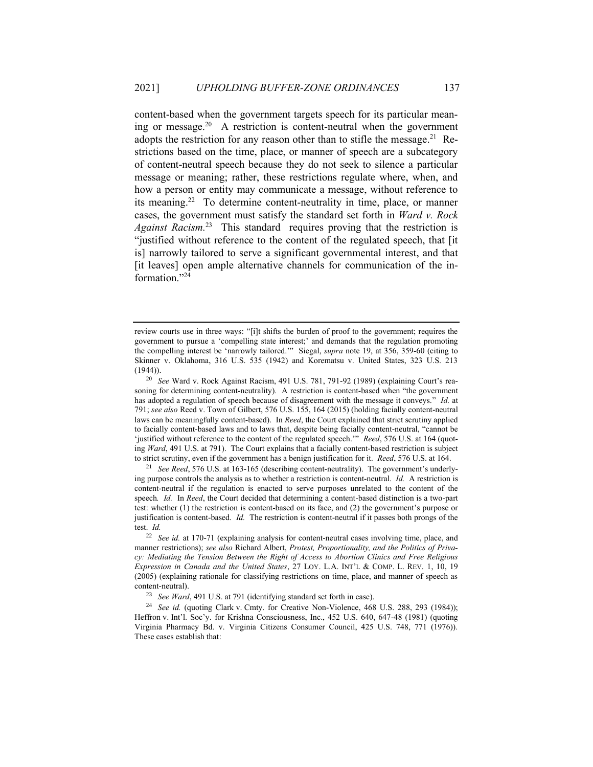content-based when the government targets speech for its particular meaning or message.<sup>20</sup> A restriction is content-neutral when the government adopts the restriction for any reason other than to stifle the message.<sup>21</sup> Restrictions based on the time, place, or manner of speech are a subcategory of content-neutral speech because they do not seek to silence a particular message or meaning; rather, these restrictions regulate where, when, and how a person or entity may communicate a message, without reference to its meaning.<sup>22</sup> To determine content-neutrality in time, place, or manner cases, the government must satisfy the standard set forth in *Ward v. Rock*  Against Racism.<sup>23</sup> This standard requires proving that the restriction is "justified without reference to the content of the regulated speech, that [it is] narrowly tailored to serve a significant governmental interest, and that [it leaves] open ample alternative channels for communication of the information." 24

<sup>21</sup> *See Reed*, 576 U.S. at 163-165 (describing content-neutrality). The government's underlying purpose controls the analysis as to whether a restriction is content-neutral. *Id.* A restriction is content-neutral if the regulation is enacted to serve purposes unrelated to the content of the speech*. Id.* In *Reed*, the Court decided that determining a content-based distinction is a two-part test: whether (1) the restriction is content-based on its face, and (2) the government's purpose or justification is content-based. *Id.* The restriction is content-neutral if it passes both prongs of the test. *Id.*

review courts use in three ways: "[i]t shifts the burden of proof to the government; requires the government to pursue a 'compelling state interest;' and demands that the regulation promoting the compelling interest be 'narrowly tailored.'" Siegal, *supra* note 19, at 356, 359-60 (citing to Skinner v. Oklahoma, 316 U.S. 535 (1942) and Korematsu v. United States, 323 U.S. 213  $(1944)$ ).

<sup>20</sup> *See* Ward v. Rock Against Racism, 491 U.S. 781, 791-92 (1989) (explaining Court's reasoning for determining content-neutrality). A restriction is content-based when "the government has adopted a regulation of speech because of disagreement with the message it conveys." *Id.* at 791; *see also* Reed v. Town of Gilbert, 576 U.S. 155, 164 (2015) (holding facially content-neutral laws can be meaningfully content-based). In *Reed*, the Court explained that strict scrutiny applied to facially content-based laws and to laws that, despite being facially content-neutral, "cannot be 'justified without reference to the content of the regulated speech.'" *Reed*, 576 U.S. at 164 (quoting *Ward*, 491 U.S. at 791). The Court explains that a facially content-based restriction is subject to strict scrutiny, even if the government has a benign justification for it. *Reed*, 576 U.S. at 164.

<sup>22</sup> *See id.* at 170-71 (explaining analysis for content-neutral cases involving time, place, and manner restrictions); *see also* Richard Albert, *Protest, Proportionality, and the Politics of Privacy: Mediating the Tension Between the Right of Access to Abortion Clinics and Free Religious Expression in Canada and the United States*, 27 LOY. L.A. INT'L & COMP. L. REV. 1, 10, 19 (2005) (explaining rationale for classifying restrictions on time, place, and manner of speech as content-neutral).

<sup>23</sup> *See Ward*, 491 U.S. at 791 (identifying standard set forth in case).

<sup>&</sup>lt;sup>24</sup> *See id.* (quoting Clark v. Cmty. for Creative Non-Violence, 468 U.S. 288, 293 (1984)); Heffron v. Int'l. Soc'y. for Krishna Consciousness, Inc., 452 U.S. 640, 647-48 (1981) (quoting Virginia Pharmacy Bd. v. Virginia Citizens Consumer Council, 425 U.S. 748, 771 (1976)). These cases establish that: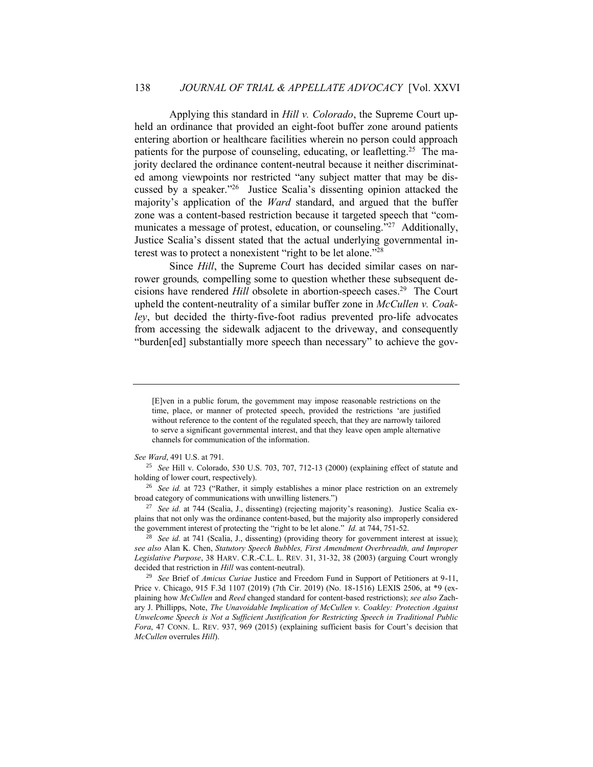Applying this standard in *Hill v. Colorado*, the Supreme Court upheld an ordinance that provided an eight-foot buffer zone around patients entering abortion or healthcare facilities wherein no person could approach patients for the purpose of counseling, educating, or leafletting.<sup>25</sup> The majority declared the ordinance content-neutral because it neither discriminated among viewpoints nor restricted "any subject matter that may be discussed by a speaker." 26 Justice Scalia's dissenting opinion attacked the majority's application of the *Ward* standard, and argued that the buffer zone was a content-based restriction because it targeted speech that "communicates a message of protest, education, or counseling."<sup>27</sup> Additionally, Justice Scalia's dissent stated that the actual underlying governmental interest was to protect a nonexistent "right to be let alone." 28

Since *Hill*, the Supreme Court has decided similar cases on narrower grounds*,* compelling some to question whether these subsequent decisions have rendered *Hill* obsolete in abortion-speech cases.<sup>29</sup> The Court upheld the content-neutrality of a similar buffer zone in *McCullen v. Coakley*, but decided the thirty-five-foot radius prevented pro-life advocates from accessing the sidewalk adjacent to the driveway, and consequently "burden[ed] substantially more speech than necessary" to achieve the gov-

 $\frac{28}{28}$  *See id.* at 741 (Scalia, J., dissenting) (providing theory for government interest at issue); *see also* Alan K. Chen, *Statutory Speech Bubbles, First Amendment Overbreadth, and Improper Legislative Purpose*, 38 HARV. C.R.-C.L. L. REV. 31, 31-32, 38 (2003) (arguing Court wrongly decided that restriction in *Hill* was content-neutral).

<sup>[</sup>E]ven in a public forum, the government may impose reasonable restrictions on the time, place, or manner of protected speech, provided the restrictions 'are justified without reference to the content of the regulated speech, that they are narrowly tailored to serve a significant governmental interest, and that they leave open ample alternative channels for communication of the information.

*See Ward*, 491 U.S. at 791.

<sup>25</sup> *See* Hill v. Colorado, 530 U.S. 703, 707, 712-13 (2000) (explaining effect of statute and holding of lower court, respectively).

<sup>&</sup>lt;sup>26</sup> *See id.* at 723 ("Rather, it simply establishes a minor place restriction on an extremely broad category of communications with unwilling listeners.")

<sup>27</sup> *See id.* at 744 (Scalia, J., dissenting) (rejecting majority's reasoning). Justice Scalia explains that not only was the ordinance content-based, but the majority also improperly considered the government interest of protecting the "right to be let alone." *Id.* at 744, 751-52.

<sup>29</sup> *See* Brief of *Amicus Curiae* Justice and Freedom Fund in Support of Petitioners at 9-11, Price v. Chicago, 915 F.3d 1107 (2019) (7th Cir. 2019) (No. 18-1516) LEXIS 2506, at \*9 (explaining how *McCullen* and *Reed* changed standard for content-based restrictions); *see also* Zachary J. Phillipps, Note, *The Unavoidable Implication of McCullen v. Coakley: Protection Against Unwelcome Speech is Not a Sufficient Justification for Restricting Speech in Traditional Public Fora*, 47 CONN. L. REV. 937, 969 (2015) (explaining sufficient basis for Court's decision that *McCullen* overrules *Hill*).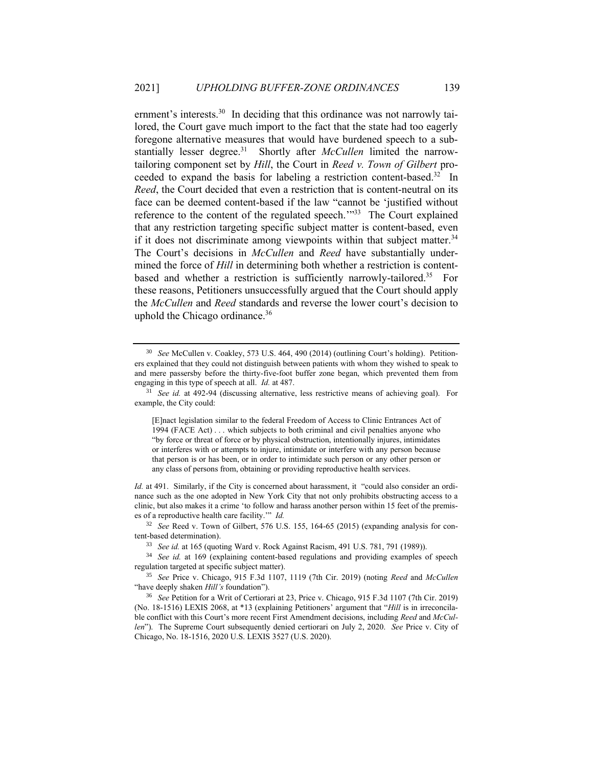ernment's interests.<sup>30</sup> In deciding that this ordinance was not narrowly tailored, the Court gave much import to the fact that the state had too eagerly foregone alternative measures that would have burdened speech to a substantially lesser degree.<sup>31</sup> Shortly after *McCullen* limited the narrowtailoring component set by *Hill*, the Court in *Reed v. Town of Gilbert* proceeded to expand the basis for labeling a restriction content-based. 32 In *Reed*, the Court decided that even a restriction that is content-neutral on its face can be deemed content-based if the law "cannot be 'justified without reference to the content of the regulated speech.<sup>"33</sup> The Court explained that any restriction targeting specific subject matter is content-based, even if it does not discriminate among viewpoints within that subject matter. $34$ The Court's decisions in *McCullen* and *Reed* have substantially undermined the force of *Hill* in determining both whether a restriction is contentbased and whether a restriction is sufficiently narrowly-tailored.<sup>35</sup> For these reasons, Petitioners unsuccessfully argued that the Court should apply the *McCullen* and *Reed* standards and reverse the lower court's decision to uphold the Chicago ordinance.<sup>36</sup>

[E]nact legislation similar to the federal Freedom of Access to Clinic Entrances Act of 1994 (FACE Act) . . . which subjects to both criminal and civil penalties anyone who "by force or threat of force or by physical obstruction, intentionally injures, intimidates or interferes with or attempts to injure, intimidate or interfere with any person because that person is or has been, or in order to intimidate such person or any other person or any class of persons from, obtaining or providing reproductive health services.

*Id.* at 491. Similarly, if the City is concerned about harassment, it "could also consider an ordinance such as the one adopted in New York City that not only prohibits obstructing access to a clinic, but also makes it a crime 'to follow and harass another person within 15 feet of the premises of a reproductive health care facility.'" *Id.* 

<sup>32</sup> *See* Reed v. Town of Gilbert, 576 U.S. 155, 164-65 (2015) (expanding analysis for content-based determination).

<sup>34</sup> *See id.* at 169 (explaining content-based regulations and providing examples of speech regulation targeted at specific subject matter).

<sup>35</sup> *See* Price v. Chicago, 915 F.3d 1107, 1119 (7th Cir. 2019) (noting *Reed* and *McCullen* "have deeply shaken *Hill's* foundation").

<sup>36</sup> *See* Petition for a Writ of Certiorari at 23, Price v. Chicago, 915 F.3d 1107 (7th Cir. 2019) (No. 18-1516) LEXIS 2068, at \*13 (explaining Petitioners' argument that "*Hill* is in irreconcilable conflict with this Court's more recent First Amendment decisions, including *Reed* and *McCullen*"). The Supreme Court subsequently denied certiorari on July 2, 2020. *See* Price v. City of Chicago, No. 18-1516, 2020 U.S. LEXIS 3527 (U.S. 2020).

<sup>30</sup> *See* McCullen v. Coakley, 573 U.S. 464, 490 (2014) (outlining Court's holding). Petitioners explained that they could not distinguish between patients with whom they wished to speak to and mere passersby before the thirty-five-foot buffer zone began, which prevented them from engaging in this type of speech at all. *Id.* at 487.

<sup>31</sup> *See id.* at 492-94 (discussing alternative, less restrictive means of achieving goal). For example, the City could:

<sup>33</sup> *See id.* at 165 (quoting Ward v. Rock Against Racism, 491 U.S. 781, 791 (1989)).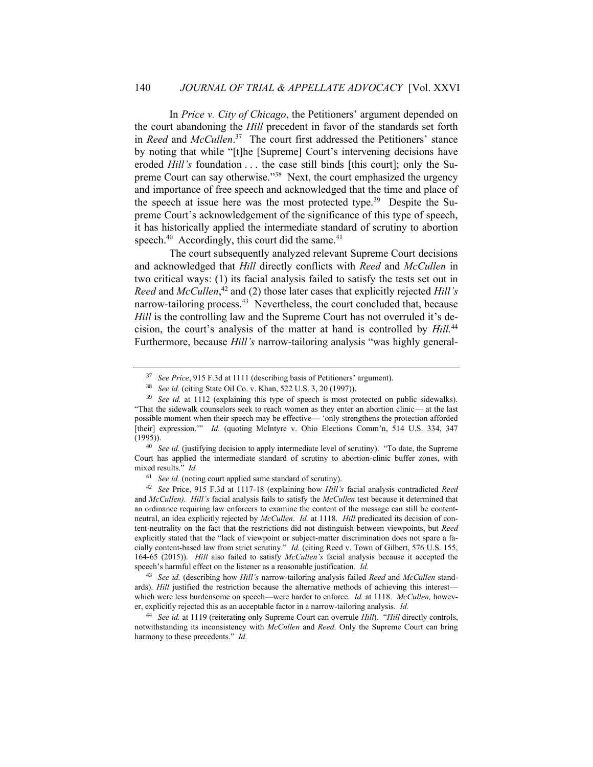In *Price v. City of Chicago*, the Petitioners' argument depended on the court abandoning the *Hill* precedent in favor of the standards set forth in *Reed* and *McCullen*. 37 The court first addressed the Petitioners' stance by noting that while "[t]he [Supreme] Court's intervening decisions have eroded *Hill's* foundation . . . the case still binds [this court]; only the Supreme Court can say otherwise."<sup>38</sup> Next, the court emphasized the urgency and importance of free speech and acknowledged that the time and place of the speech at issue here was the most protected type.<sup>39</sup> Despite the Supreme Court's acknowledgement of the significance of this type of speech, it has historically applied the intermediate standard of scrutiny to abortion speech. $40$  Accordingly, this court did the same. $41$ 

The court subsequently analyzed relevant Supreme Court decisions and acknowledged that *Hill* directly conflicts with *Reed* and *McCullen* in two critical ways: (1) its facial analysis failed to satisfy the tests set out in *Reed* and *McCullen*, <sup>42</sup> and (2) those later cases that explicitly rejected *Hill's* narrow-tailoring process.<sup>43</sup> Nevertheless, the court concluded that, because *Hill* is the controlling law and the Supreme Court has not overruled it's decision, the court's analysis of the matter at hand is controlled by *Hill.*<sup>44</sup> Furthermore, because *Hill's* narrow-tailoring analysis "was highly general-

<sup>40</sup> *See id.* (justifying decision to apply intermediate level of scrutiny). "To date, the Supreme Court has applied the intermediate standard of scrutiny to abortion-clinic buffer zones, with mixed results." *Id.*

<sup>42</sup> *See* Price, 915 F.3d at 1117-18 (explaining how *Hill's* facial analysis contradicted *Reed*  and *McCullen). Hill's* facial analysis fails to satisfy the *McCullen* test because it determined that an ordinance requiring law enforcers to examine the content of the message can still be contentneutral, an idea explicitly rejected by *McCullen*. *Id.* at 1118. *Hill* predicated its decision of content-neutrality on the fact that the restrictions did not distinguish between viewpoints, but *Reed* explicitly stated that the "lack of viewpoint or subject-matter discrimination does not spare a facially content-based law from strict scrutiny." *Id.* (citing Reed v. Town of Gilbert, 576 U.S. 155, 164-65 (2015)). *Hill* also failed to satisfy *McCullen's* facial analysis because it accepted the speech's harmful effect on the listener as a reasonable justification. *Id.*

<sup>43</sup> *See id.* (describing how *Hill's* narrow-tailoring analysis failed *Reed* and *McCullen* standards). *Hill* justified the restriction because the alternative methods of achieving this interestwhich were less burdensome on speech—were harder to enforce. *Id.* at 1118. *McCullen,* however, explicitly rejected this as an acceptable factor in a narrow-tailoring analysis. *Id.* 

<sup>44</sup> *See id.* at 1119 (reiterating only Supreme Court can overrule *Hill*). "*Hill* directly controls, notwithstanding its inconsistency with *McCullen* and *Reed*. Only the Supreme Court can bring harmony to these precedents." *Id.*

<sup>37</sup> *See Price*, 915 F.3d at 1111 (describing basis of Petitioners' argument).

<sup>38</sup> *See id.* (citing State Oil Co. v. Khan, 522 U.S. 3, 20 (1997)).

<sup>&</sup>lt;sup>39</sup> *See id.* at 1112 (explaining this type of speech is most protected on public sidewalks). "That the sidewalk counselors seek to reach women as they enter an abortion clinic— at the last possible moment when their speech may be effective— 'only strengthens the protection afforded [their] expression."" *Id.* (quoting McIntyre v. Ohio Elections Comm'n, 514 U.S. 334, 347  $(1995)$ ).

<sup>41</sup> *See id.* (noting court applied same standard of scrutiny).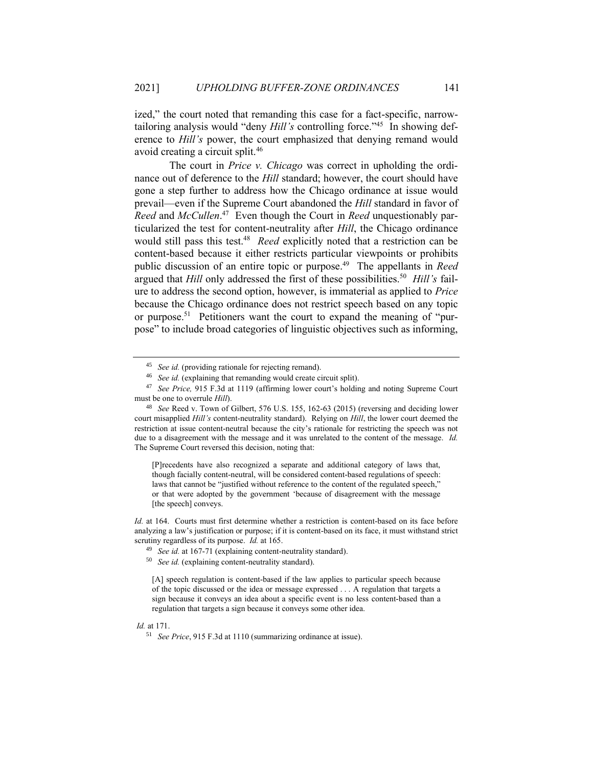ized," the court noted that remanding this case for a fact-specific, narrowtailoring analysis would "deny *Hill's* controlling force." 45 In showing deference to *Hill's* power, the court emphasized that denying remand would avoid creating a circuit split.<sup>46</sup>

The court in *Price v. Chicago* was correct in upholding the ordinance out of deference to the *Hill* standard; however, the court should have gone a step further to address how the Chicago ordinance at issue would prevail—even if the Supreme Court abandoned the *Hill* standard in favor of *Reed* and *McCullen*. 47 Even though the Court in *Reed* unquestionably particularized the test for content-neutrality after *Hill*, the Chicago ordinance would still pass this test.<sup>48</sup> Reed explicitly noted that a restriction can be content-based because it either restricts particular viewpoints or prohibits public discussion of an entire topic or purpose.<sup>49</sup> The appellants in *Reed* argued that *Hill* only addressed the first of these possibilities.<sup>50</sup> Hill's failure to address the second option, however, is immaterial as applied to *Price* because the Chicago ordinance does not restrict speech based on any topic or purpose. 51 Petitioners want the court to expand the meaning of "purpose" to include broad categories of linguistic objectives such as informing,

[P]recedents have also recognized a separate and additional category of laws that, though facially content-neutral, will be considered content-based regulations of speech: laws that cannot be "justified without reference to the content of the regulated speech," or that were adopted by the government 'because of disagreement with the message [the speech] conveys.

*Id.* at 164. Courts must first determine whether a restriction is content-based on its face before analyzing a law's justification or purpose; if it is content-based on its face, it must withstand strict scrutiny regardless of its purpose. *Id.* at 165.

[A] speech regulation is content-based if the law applies to particular speech because of the topic discussed or the idea or message expressed . . . A regulation that targets a sign because it conveys an idea about a specific event is no less content-based than a regulation that targets a sign because it conveys some other idea.

*Id.* at 171.

<sup>45</sup> *See id.* (providing rationale for rejecting remand).

<sup>46</sup> *See id.* (explaining that remanding would create circuit split).

<sup>47</sup> *See Price,* 915 F.3d at 1119 (affirming lower court's holding and noting Supreme Court must be one to overrule *Hill*).

<sup>48</sup> *See* Reed v. Town of Gilbert, 576 U.S. 155, 162-63 (2015) (reversing and deciding lower court misapplied *Hill's* content-neutrality standard). Relying on *Hill*, the lower court deemed the restriction at issue content-neutral because the city's rationale for restricting the speech was not due to a disagreement with the message and it was unrelated to the content of the message. *Id.* The Supreme Court reversed this decision, noting that:

<sup>49</sup> *See id.* at 167-71 (explaining content-neutrality standard).

<sup>50</sup> *See id.* (explaining content-neutrality standard).

<sup>51</sup> *See Price*, 915 F.3d at 1110 (summarizing ordinance at issue).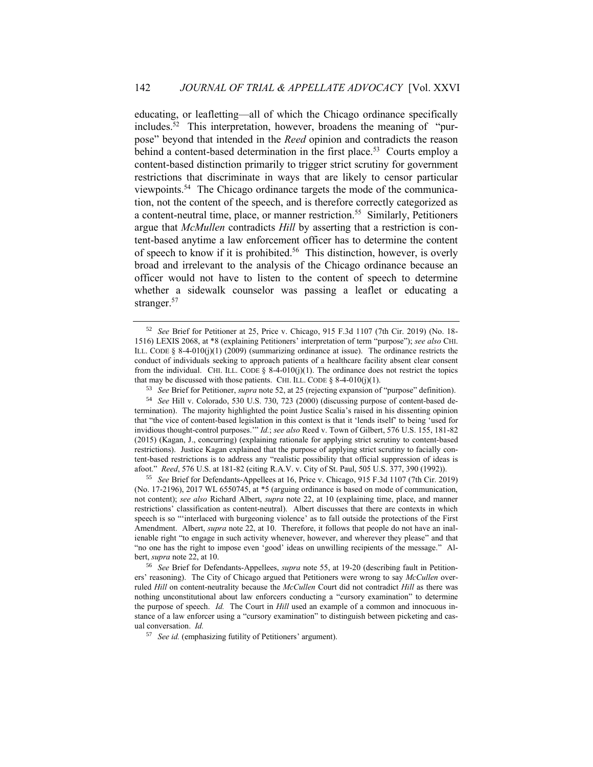educating, or leafletting—all of which the Chicago ordinance specifically includes. 52 This interpretation, however, broadens the meaning of "purpose" beyond that intended in the *Reed* opinion and contradicts the reason behind a content-based determination in the first place.<sup>53</sup> Courts employ a content-based distinction primarily to trigger strict scrutiny for government restrictions that discriminate in ways that are likely to censor particular viewpoints.<sup>54</sup> The Chicago ordinance targets the mode of the communication, not the content of the speech, and is therefore correctly categorized as a content-neutral time, place, or manner restriction.<sup>55</sup> Similarly, Petitioners argue that *McMullen* contradicts *Hill* by asserting that a restriction is content-based anytime a law enforcement officer has to determine the content of speech to know if it is prohibited.<sup>56</sup> This distinction, however, is overly broad and irrelevant to the analysis of the Chicago ordinance because an officer would not have to listen to the content of speech to determine whether a sidewalk counselor was passing a leaflet or educating a stranger.<sup>57</sup>

<sup>55</sup> *See* Brief for Defendants-Appellees at 16, Price v. Chicago, 915 F.3d 1107 (7th Cir. 2019) (No. 17-2196), 2017 WL 6550745, at \*5 (arguing ordinance is based on mode of communication, not content); *see also* Richard Albert, *supra* note 22, at 10 (explaining time, place, and manner restrictions' classification as content-neutral). Albert discusses that there are contexts in which speech is so "'interlaced with burgeoning violence' as to fall outside the protections of the First Amendment. Albert, *supra* note 22, at 10.Therefore, it follows that people do not have an inalienable right "to engage in such activity whenever, however, and wherever they please" and that "no one has the right to impose even 'good' ideas on unwilling recipients of the message." Albert, *supra* note 22, at 10.

<sup>56</sup> *See* Brief for Defendants-Appellees, *supra* note 55, at 19-20 (describing fault in Petitioners' reasoning). The City of Chicago argued that Petitioners were wrong to say *McCullen* overruled *Hill* on content-neutrality because the *McCullen* Court did not contradict *Hill* as there was nothing unconstitutional about law enforcers conducting a "cursory examination" to determine the purpose of speech. *Id.* The Court in *Hill* used an example of a common and innocuous instance of a law enforcer using a "cursory examination" to distinguish between picketing and casual conversation. *Id.* 

<sup>57</sup> *See id.* (emphasizing futility of Petitioners' argument).

<sup>52</sup> *See* Brief for Petitioner at 25, Price v. Chicago, 915 F.3d 1107 (7th Cir. 2019) (No. 18- 1516) LEXIS 2068, at \*8 (explaining Petitioners' interpretation of term "purpose"); *see also* CHI. ILL. CODE § 8-4-010(j)(1) (2009) (summarizing ordinance at issue). The ordinance restricts the conduct of individuals seeking to approach patients of a healthcare facility absent clear consent from the individual. CHI. ILL. CODE  $\S$  8-4-010(j)(1). The ordinance does not restrict the topics that may be discussed with those patients. CHI. ILL. CODE  $\S$  8-4-010(j)(1).

<sup>53</sup> *See* Brief for Petitioner, *supra* note 52, at 25 (rejecting expansion of "purpose" definition).

<sup>54</sup> *See* Hill v. Colorado, 530 U.S. 730, 723 (2000) (discussing purpose of content-based determination). The majority highlighted the point Justice Scalia's raised in his dissenting opinion that "the vice of content-based legislation in this context is that it 'lends itself' to being 'used for invidious thought-control purposes.'" *Id.*; *see also* Reed v. Town of Gilbert, 576 U.S. 155, 181-82 (2015) (Kagan, J., concurring) (explaining rationale for applying strict scrutiny to content-based restrictions). Justice Kagan explained that the purpose of applying strict scrutiny to facially content-based restrictions is to address any "realistic possibility that official suppression of ideas is afoot." *Reed*, 576 U.S. at 181-82 (citing R.A.V. v. City of St. Paul, 505 U.S. 377, 390 (1992)).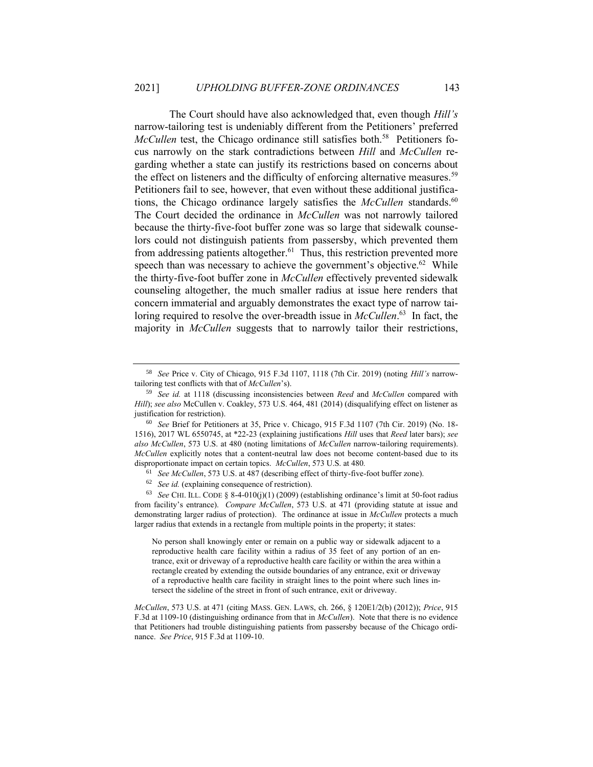The Court should have also acknowledged that, even though *Hill's*  narrow-tailoring test is undeniably different from the Petitioners' preferred McCullen test, the Chicago ordinance still satisfies both.<sup>58</sup> Petitioners focus narrowly on the stark contradictions between *Hill* and *McCullen* regarding whether a state can justify its restrictions based on concerns about the effect on listeners and the difficulty of enforcing alternative measures.<sup>59</sup> Petitioners fail to see, however, that even without these additional justifications, the Chicago ordinance largely satisfies the *McCullen* standards.<sup>60</sup> The Court decided the ordinance in *McCullen* was not narrowly tailored because the thirty-five-foot buffer zone was so large that sidewalk counselors could not distinguish patients from passersby, which prevented them from addressing patients altogether.<sup>61</sup> Thus, this restriction prevented more speech than was necessary to achieve the government's objective. $62$  While the thirty-five-foot buffer zone in *McCullen* effectively prevented sidewalk counseling altogether, the much smaller radius at issue here renders that concern immaterial and arguably demonstrates the exact type of narrow tailoring required to resolve the over-breadth issue in *McCullen*. 63 In fact, the majority in *McCullen* suggests that to narrowly tailor their restrictions,

<sup>58</sup> *See* Price v. City of Chicago, 915 F.3d 1107, 1118 (7th Cir. 2019) (noting *Hill's* narrowtailoring test conflicts with that of *McCullen*'s).

<sup>59</sup> *See id.* at 1118 (discussing inconsistencies between *Reed* and *McCullen* compared with *Hill*); *see also* McCullen v. Coakley, 573 U.S. 464, 481 (2014) (disqualifying effect on listener as justification for restriction).

<sup>60</sup> *See* Brief for Petitioners at 35, Price v. Chicago, 915 F.3d 1107 (7th Cir. 2019) (No. 18- 1516), 2017 WL 6550745, at \*22-23 (explaining justifications *Hill* uses that *Reed* later bars); *see also McCullen*, 573 U.S. at 480 (noting limitations of *McCullen* narrow-tailoring requirements). *McCullen* explicitly notes that a content-neutral law does not become content-based due to its disproportionate impact on certain topics. *McCullen*, 573 U.S. at 480*.*

<sup>61</sup> *See McCullen*, 573 U.S. at 487 (describing effect of thirty-five-foot buffer zone).

<sup>62</sup> *See id.* (explaining consequence of restriction).

<sup>63</sup> *See* CHI. ILL. CODE § 8-4-010(j)(1) (2009) (establishing ordinance's limit at 50-foot radius from facility's entrance). *Compare McCullen*, 573 U.S. at 471 (providing statute at issue and demonstrating larger radius of protection). The ordinance at issue in *McCullen* protects a much larger radius that extends in a rectangle from multiple points in the property; it states:

No person shall knowingly enter or remain on a public way or sidewalk adjacent to a reproductive health care facility within a radius of 35 feet of any portion of an entrance, exit or driveway of a reproductive health care facility or within the area within a rectangle created by extending the outside boundaries of any entrance, exit or driveway of a reproductive health care facility in straight lines to the point where such lines intersect the sideline of the street in front of such entrance, exit or driveway.

*McCullen*, 573 U.S. at 471 (citing MASS. GEN. LAWS, ch. 266, § 120E1/2(b) (2012)); *Price*, 915 F.3d at 1109-10 (distinguishing ordinance from that in *McCullen*). Note that there is no evidence that Petitioners had trouble distinguishing patients from passersby because of the Chicago ordinance. *See Price*, 915 F.3d at 1109-10.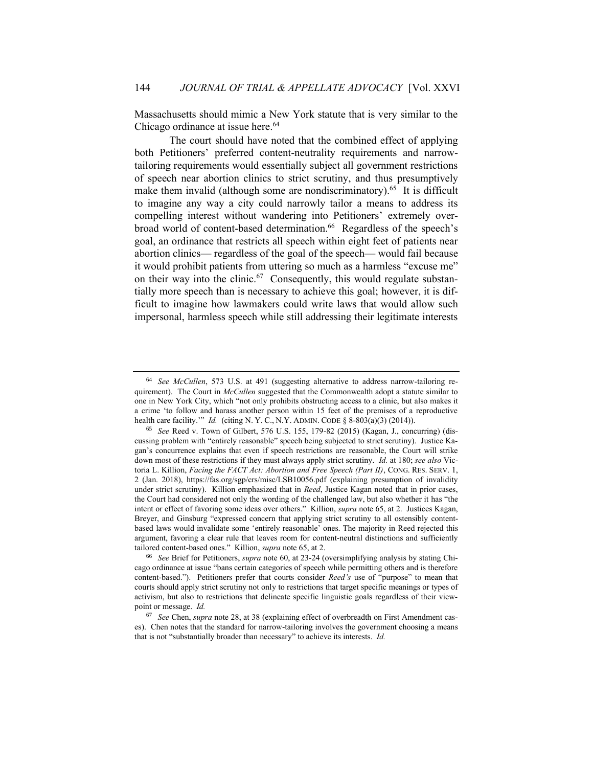Massachusetts should mimic a New York statute that is very similar to the Chicago ordinance at issue here.<sup>64</sup>

The court should have noted that the combined effect of applying both Petitioners' preferred content-neutrality requirements and narrowtailoring requirements would essentially subject all government restrictions of speech near abortion clinics to strict scrutiny, and thus presumptively make them invalid (although some are nondiscriminatory).<sup>65</sup> It is difficult to imagine any way a city could narrowly tailor a means to address its compelling interest without wandering into Petitioners' extremely overbroad world of content-based determination.<sup>66</sup> Regardless of the speech's goal, an ordinance that restricts all speech within eight feet of patients near abortion clinics— regardless of the goal of the speech— would fail because it would prohibit patients from uttering so much as a harmless "excuse me" on their way into the clinic.<sup>67</sup> Consequently, this would regulate substantially more speech than is necessary to achieve this goal; however, it is difficult to imagine how lawmakers could write laws that would allow such impersonal, harmless speech while still addressing their legitimate interests

<sup>64</sup> *See McCullen*, 573 U.S. at 491 (suggesting alternative to address narrow-tailoring requirement). The Court in *McCullen* suggested that the Commonwealth adopt a statute similar to one in New York City, which "not only prohibits obstructing access to a clinic, but also makes it a crime 'to follow and harass another person within 15 feet of the premises of a reproductive health care facility.'" *Id.* (citing N. Y. C., N.Y. ADMIN. CODE § 8-803(a)(3) (2014)).

<sup>65</sup> *See* Reed v. Town of Gilbert, 576 U.S. 155, 179-82 (2015) (Kagan, J., concurring) (discussing problem with "entirely reasonable" speech being subjected to strict scrutiny). Justice Kagan's concurrence explains that even if speech restrictions are reasonable, the Court will strike down most of these restrictions if they must always apply strict scrutiny. *Id.* at 180; *see also* Victoria L. Killion, *Facing the FACT Act: Abortion and Free Speech (Part II)*, CONG. RES. SERV. 1, 2 (Jan. 2018), https://fas.org/sgp/crs/misc/LSB10056.pdf (explaining presumption of invalidity under strict scrutiny). Killion emphasized that in *Reed*, Justice Kagan noted that in prior cases, the Court had considered not only the wording of the challenged law, but also whether it has "the intent or effect of favoring some ideas over others." Killion, *supra* note 65, at 2. Justices Kagan, Breyer, and Ginsburg "expressed concern that applying strict scrutiny to all ostensibly contentbased laws would invalidate some 'entirely reasonable' ones. The majority in Reed rejected this argument, favoring a clear rule that leaves room for content-neutral distinctions and sufficiently tailored content-based ones." Killion, *supra* note 65, at 2.

<sup>66</sup> *See* Brief for Petitioners, *supra* note 60, at 23-24 (oversimplifying analysis by stating Chicago ordinance at issue "bans certain categories of speech while permitting others and is therefore content-based."). Petitioners prefer that courts consider *Reed's* use of "purpose" to mean that courts should apply strict scrutiny not only to restrictions that target specific meanings or types of activism, but also to restrictions that delineate specific linguistic goals regardless of their viewpoint or message. *Id.*

<sup>67</sup> *See* Chen, *supra* note 28, at 38 (explaining effect of overbreadth on First Amendment cases). Chen notes that the standard for narrow-tailoring involves the government choosing a means that is not "substantially broader than necessary" to achieve its interests. *Id.*